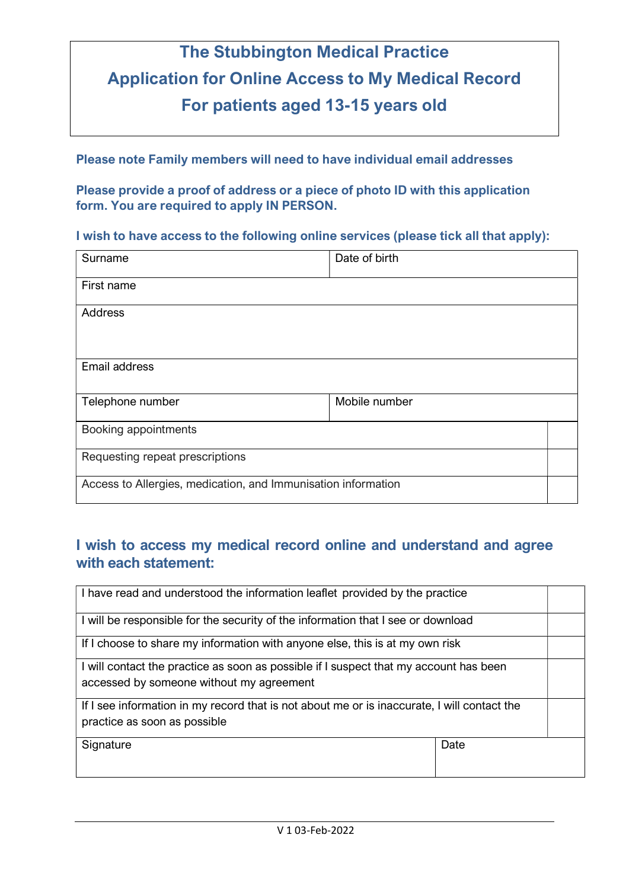# The Stubbington Medical Practice Application for Online Access to My Medical Record For patients aged 13-15 years old

Please note Family members will need to have individual email addresses

Please provide a proof of address or a piece of photo ID with this application form. You are required to apply IN PERSON.

#### I wish to have access to the following online services (please tick all that apply):

| Surname                                                       | Date of birth |  |  |
|---------------------------------------------------------------|---------------|--|--|
| First name                                                    |               |  |  |
| Address                                                       |               |  |  |
| Email address                                                 |               |  |  |
| Telephone number                                              | Mobile number |  |  |
| Booking appointments                                          |               |  |  |
| Requesting repeat prescriptions                               |               |  |  |
| Access to Allergies, medication, and Immunisation information |               |  |  |

### I wish to access my medical record online and understand and agree with each statement:

| I have read and understood the information leaflet provided by the practice                                                       |      |  |
|-----------------------------------------------------------------------------------------------------------------------------------|------|--|
| I will be responsible for the security of the information that I see or download                                                  |      |  |
| If I choose to share my information with anyone else, this is at my own risk                                                      |      |  |
| I will contact the practice as soon as possible if I suspect that my account has been<br>accessed by someone without my agreement |      |  |
| If I see information in my record that is not about me or is inaccurate, I will contact the<br>practice as soon as possible       |      |  |
| Signature                                                                                                                         | Date |  |